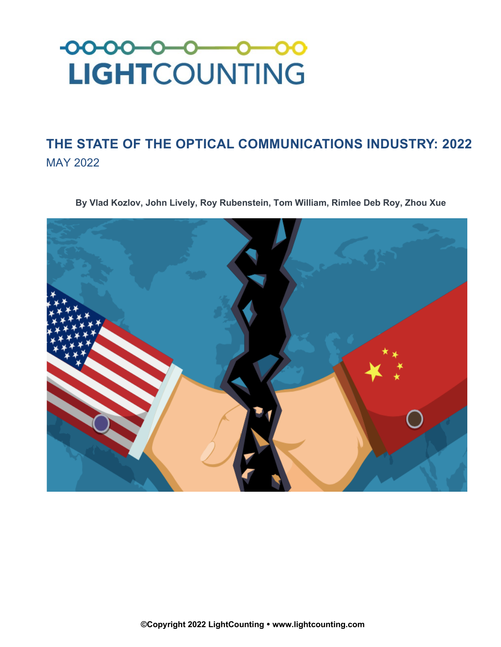

## **THE STATE OF THE OPTICAL COMMUNICATIONS INDUSTRY: 2022** MAY 2022

**By Vlad Kozlov, John Lively, Roy Rubenstein, Tom William, Rimlee Deb Roy, Zhou Xue**

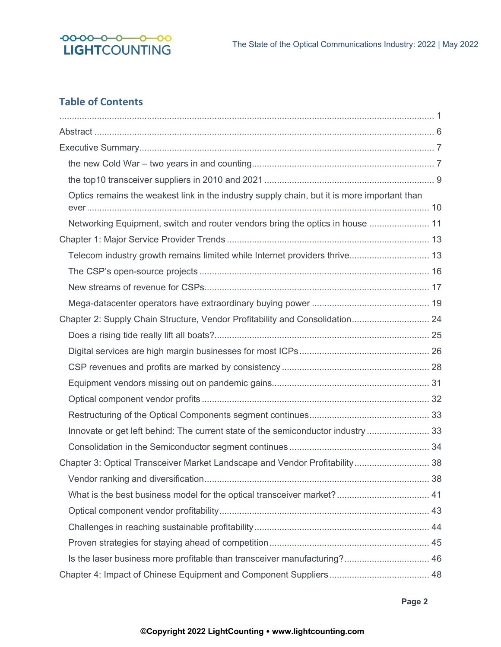

## **Table of Contents**

| Optics remains the weakest link in the industry supply chain, but it is more important than |  |
|---------------------------------------------------------------------------------------------|--|
| Networking Equipment, switch and router vendors bring the optics in house  11               |  |
|                                                                                             |  |
|                                                                                             |  |
|                                                                                             |  |
|                                                                                             |  |
|                                                                                             |  |
| Chapter 2: Supply Chain Structure, Vendor Profitability and Consolidation 24                |  |
|                                                                                             |  |
|                                                                                             |  |
|                                                                                             |  |
|                                                                                             |  |
|                                                                                             |  |
|                                                                                             |  |
| Innovate or get left behind: The current state of the semiconductor industry  33            |  |
|                                                                                             |  |
| Chapter 3: Optical Transceiver Market Landscape and Vendor Profitability 38                 |  |
|                                                                                             |  |
|                                                                                             |  |
|                                                                                             |  |
|                                                                                             |  |
|                                                                                             |  |
|                                                                                             |  |
|                                                                                             |  |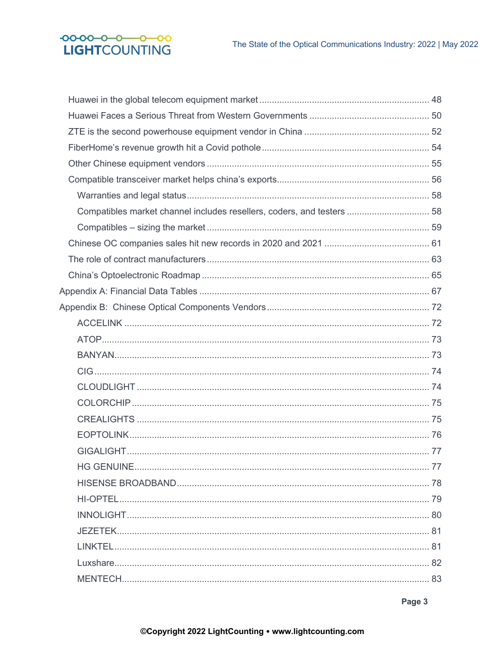## $-00-00-0-0-00$ LIGHTCOUNTING

| Compatibles market channel includes resellers, coders, and testers  58 |  |
|------------------------------------------------------------------------|--|
|                                                                        |  |
|                                                                        |  |
|                                                                        |  |
|                                                                        |  |
|                                                                        |  |
|                                                                        |  |
|                                                                        |  |
|                                                                        |  |
|                                                                        |  |
|                                                                        |  |
|                                                                        |  |
|                                                                        |  |
|                                                                        |  |
|                                                                        |  |
|                                                                        |  |
|                                                                        |  |
|                                                                        |  |
|                                                                        |  |
|                                                                        |  |
|                                                                        |  |
|                                                                        |  |
|                                                                        |  |
|                                                                        |  |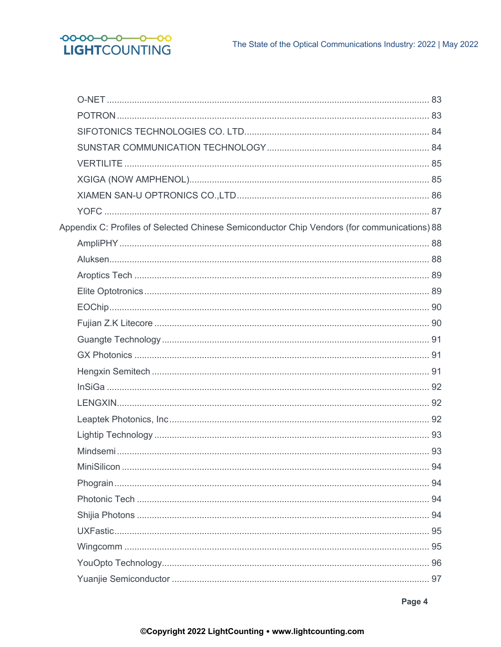

| Appendix C: Profiles of Selected Chinese Semiconductor Chip Vendors (for communications) 88 |  |
|---------------------------------------------------------------------------------------------|--|
|                                                                                             |  |
|                                                                                             |  |
|                                                                                             |  |
|                                                                                             |  |
|                                                                                             |  |
|                                                                                             |  |
|                                                                                             |  |
|                                                                                             |  |
|                                                                                             |  |
|                                                                                             |  |
|                                                                                             |  |
|                                                                                             |  |
|                                                                                             |  |
|                                                                                             |  |
|                                                                                             |  |
|                                                                                             |  |
|                                                                                             |  |
|                                                                                             |  |
|                                                                                             |  |
|                                                                                             |  |
|                                                                                             |  |
|                                                                                             |  |

Page 4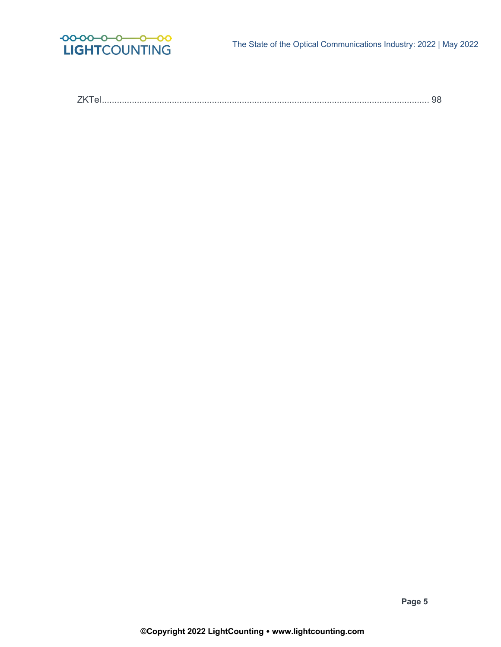

ZKTel................................................................................................................................... 98